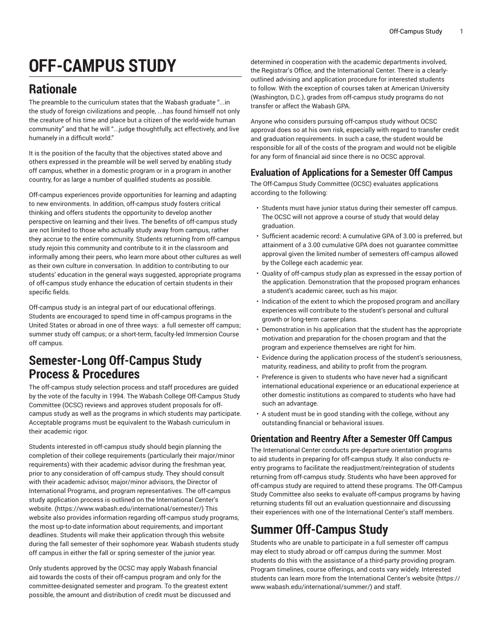# **OFF-CAMPUS STUDY**

# **Rationale**

The preamble to the curriculum states that the Wabash graduate "...in the study of foreign civilizations and people, ...has found himself not only the creature of his time and place but a citizen of the world-wide human community" and that he will "...judge thoughtfully, act effectively, and live humanely in a difficult world."

It is the position of the faculty that the objectives stated above and others expressed in the preamble will be well served by enabling study off campus, whether in a domestic program or in a program in another country, for as large a number of qualified students as possible.

Off-campus experiences provide opportunities for learning and adapting to new environments. In addition, off-campus study fosters critical thinking and offers students the opportunity to develop another perspective on learning and their lives. The benefits of off-campus study are not limited to those who actually study away from campus, rather they accrue to the entire community. Students returning from off-campus study rejoin this community and contribute to it in the classroom and informally among their peers, who learn more about other cultures as well as their own culture in conversation. In addition to contributing to our students' education in the general ways suggested, appropriate programs of off-campus study enhance the education of certain students in their specific fields.

Off-campus study is an integral part of our educational offerings. Students are encouraged to spend time in off-campus programs in the United States or abroad in one of three ways: a full semester off campus; summer study off campus; or a short-term, faculty-led Immersion Course off campus.

### **Semester-Long Off-Campus Study Process & Procedures**

The off-campus study selection process and staff procedures are guided by the vote of the faculty in 1994. The Wabash College Off-Campus Study Committee (OCSC) reviews and approves student proposals for offcampus study as well as the programs in which students may participate. Acceptable programs must be equivalent to the Wabash curriculum in their academic rigor.

Students interested in off-campus study should begin planning the completion of their college requirements (particularly their major/minor requirements) with their academic advisor during the freshman year, prior to any consideration of off-campus study. They should consult with their academic advisor, major/minor advisors, the Director of International Programs, and program representatives. The off-campus study application process is outlined on the [International](https://www.wabash.edu/international/semester/) Center's [website.](https://www.wabash.edu/international/semester/) (<https://www.wabash.edu/international/semester/>) This website also provides information regarding off-campus study programs, the most up-to-date information about requirements, and important deadlines. Students will make their application through this website during the fall semester of their sophomore year. Wabash students study off campus in either the fall or spring semester of the junior year.

Only students approved by the OCSC may apply Wabash financial aid towards the costs of their off-campus program and only for the committee-designated semester and program. To the greatest extent possible, the amount and distribution of credit must be discussed and

determined in cooperation with the academic departments involved, the Registrar's Office, and the International Center. There is a clearlyoutlined advising and application procedure for interested students to follow. With the exception of courses taken at American University (Washington, D.C.), grades from off-campus study programs do not transfer or affect the Wabash GPA.

Anyone who considers pursuing off-campus study without OCSC approval does so at his own risk, especially with regard to transfer credit and graduation requirements. In such a case, the student would be responsible for all of the costs of the program and would not be eligible for any form of financial aid since there is no OCSC approval.

#### **Evaluation of Applications for a Semester Off Campus**

The Off-Campus Study Committee (OCSC) evaluates applications according to the following:

- Students must have junior status during their semester off campus. The OCSC will not approve a course of study that would delay graduation.
- Sufficient academic record: A cumulative GPA of 3.00 is preferred, but attainment of a 3.00 cumulative GPA does not guarantee committee approval given the limited number of semesters off-campus allowed by the College each academic year.
- Quality of off-campus study plan as expressed in the essay portion of the application. Demonstration that the proposed program enhances a student's academic career, such as his major.
- Indication of the extent to which the proposed program and ancillary experiences will contribute to the student's personal and cultural growth or long-term career plans.
- Demonstration in his application that the student has the appropriate motivation and preparation for the chosen program and that the program and experience themselves are right for him.
- Evidence during the application process of the student's seriousness, maturity, readiness, and ability to profit from the program.
- Preference is given to students who have never had a significant international educational experience or an educational experience at other domestic institutions as compared to students who have had such an advantage.
- A student must be in good standing with the college, without any outstanding financial or behavioral issues.

#### **Orientation and Reentry After a Semester Off Campus**

The International Center conducts pre-departure orientation programs to aid students in preparing for off-campus study. It also conducts reentry programs to facilitate the readjustment/reintegration of students returning from off-campus study. Students who have been approved for off-campus study are required to attend these programs. The Off-Campus Study Committee also seeks to evaluate off-campus programs by having returning students fill out an evaluation questionnaire and discussing their experiences with one of the International Center's staff members.

# **Summer Off-Campus Study**

Students who are unable to participate in a full semester off campus may elect to study abroad or off campus during the summer. Most students do this with the assistance of a third-party providing program. Program timelines, course offerings, and costs vary widely. Interested students can learn more from the [International](https://www.wabash.edu/international/summer/) Center's website [\(https://](https://www.wabash.edu/international/summer/) [www.wabash.edu/international/summer/\)](https://www.wabash.edu/international/summer/) and staff.